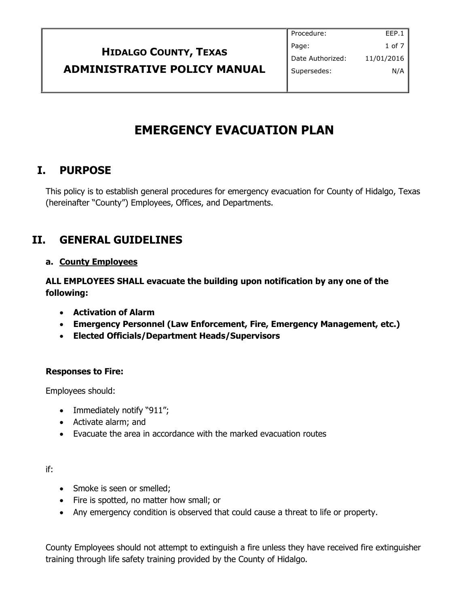|                                     | Procedure:       | EEP.1         |
|-------------------------------------|------------------|---------------|
| <b>HIDALGO COUNTY, TEXAS</b>        | Page:            | 1 of $7 \mid$ |
|                                     | Date Authorized: | 11/01/2016    |
| <b>ADMINISTRATIVE POLICY MANUAL</b> | Supersedes:      | N/A           |
|                                     |                  |               |

# **EMERGENCY EVACUATION PLAN**

### **I. PURPOSE**

This policy is to establish general procedures for emergency evacuation for County of Hidalgo, Texas (hereinafter "County") Employees, Offices, and Departments.

# **II. GENERAL GUIDELINES**

### **a. County Employees**

**ALL EMPLOYEES SHALL evacuate the building upon notification by any one of the following:**

- **Activation of Alarm**
- **Emergency Personnel (Law Enforcement, Fire, Emergency Management, etc.)**
- **Elected Officials/Department Heads/Supervisors**

### **Responses to Fire:**

Employees should:

- Immediately notify "911";
- Activate alarm; and
- Evacuate the area in accordance with the marked evacuation routes

### if:

- Smoke is seen or smelled;
- Fire is spotted, no matter how small; or
- Any emergency condition is observed that could cause a threat to life or property.

County Employees should not attempt to extinguish a fire unless they have received fire extinguisher training through life safety training provided by the County of Hidalgo.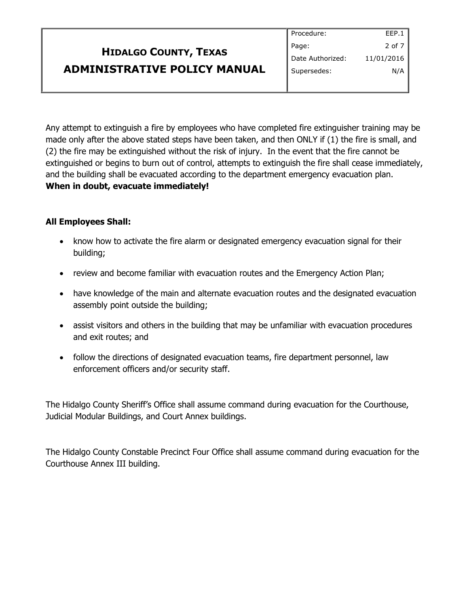|                                     | Procedure:       | EEP.1      |
|-------------------------------------|------------------|------------|
| <b>HIDALGO COUNTY, TEXAS</b>        | Page:            | 2 of 7     |
|                                     | Date Authorized: | 11/01/2016 |
| <b>ADMINISTRATIVE POLICY MANUAL</b> | Supersedes:      | N/A        |
|                                     |                  |            |

Any attempt to extinguish a fire by employees who have completed fire extinguisher training may be made only after the above stated steps have been taken, and then ONLY if (1) the fire is small, and (2) the fire may be extinguished without the risk of injury. In the event that the fire cannot be extinguished or begins to burn out of control, attempts to extinguish the fire shall cease immediately, and the building shall be evacuated according to the department emergency evacuation plan. **When in doubt, evacuate immediately!**

### **All Employees Shall:**

- know how to activate the fire alarm or designated emergency evacuation signal for their building;
- review and become familiar with evacuation routes and the Emergency Action Plan;
- have knowledge of the main and alternate evacuation routes and the designated evacuation assembly point outside the building;
- assist visitors and others in the building that may be unfamiliar with evacuation procedures and exit routes; and
- follow the directions of designated evacuation teams, fire department personnel, law enforcement officers and/or security staff.

The Hidalgo County Sheriff's Office shall assume command during evacuation for the Courthouse, Judicial Modular Buildings, and Court Annex buildings.

The Hidalgo County Constable Precinct Four Office shall assume command during evacuation for the Courthouse Annex III building.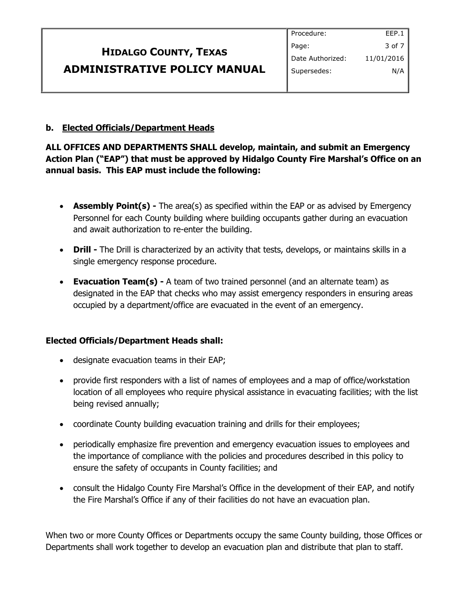|                                     | Procedure:       | EEP.1      |
|-------------------------------------|------------------|------------|
| <b>HIDALGO COUNTY, TEXAS</b>        | Page:            | 3 of 7     |
|                                     | Date Authorized: | 11/01/2016 |
| <b>ADMINISTRATIVE POLICY MANUAL</b> | Supersedes:      | N/A        |
|                                     |                  |            |

#### **b. Elected Officials/Department Heads**

### **ALL OFFICES AND DEPARTMENTS SHALL develop, maintain, and submit an Emergency Action Plan ("EAP") that must be approved by Hidalgo County Fire Marshal's Office on an annual basis. This EAP must include the following:**

- **Assembly Point(s)** The area(s) as specified within the EAP or as advised by Emergency Personnel for each County building where building occupants gather during an evacuation and await authorization to re-enter the building.
- **Drill -** The Drill is characterized by an activity that tests, develops, or maintains skills in a single emergency response procedure.
- **Evacuation Team(s) -** A team of two trained personnel (and an alternate team) as designated in the EAP that checks who may assist emergency responders in ensuring areas occupied by a department/office are evacuated in the event of an emergency.

### **Elected Officials/Department Heads shall:**

- designate evacuation teams in their EAP;
- provide first responders with a list of names of employees and a map of office/workstation location of all employees who require physical assistance in evacuating facilities; with the list being revised annually;
- coordinate County building evacuation training and drills for their employees;
- periodically emphasize fire prevention and emergency evacuation issues to employees and the importance of compliance with the policies and procedures described in this policy to ensure the safety of occupants in County facilities; and
- consult the Hidalgo County Fire Marshal's Office in the development of their EAP, and notify the Fire Marshal's Office if any of their facilities do not have an evacuation plan.

When two or more County Offices or Departments occupy the same County building, those Offices or Departments shall work together to develop an evacuation plan and distribute that plan to staff.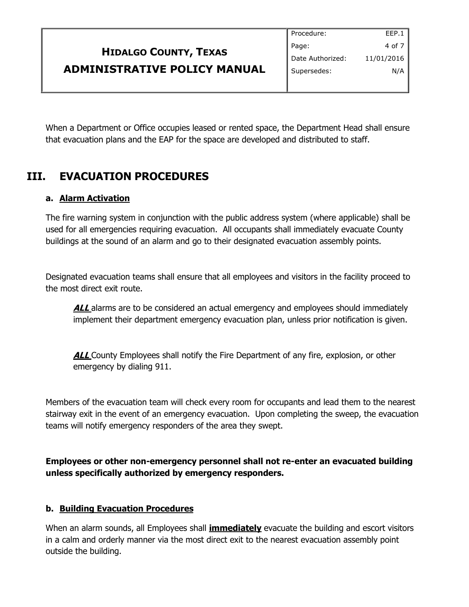|                                     | Procedure:       | EEP.1      |
|-------------------------------------|------------------|------------|
| <b>HIDALGO COUNTY, TEXAS</b>        | Page:            | 4 of $7$   |
|                                     | Date Authorized: | 11/01/2016 |
| <b>ADMINISTRATIVE POLICY MANUAL</b> | Supersedes:      | N/A        |
|                                     |                  |            |

When a Department or Office occupies leased or rented space, the Department Head shall ensure that evacuation plans and the EAP for the space are developed and distributed to staff.

# **III. EVACUATION PROCEDURES**

### **a. Alarm Activation**

The fire warning system in conjunction with the public address system (where applicable) shall be used for all emergencies requiring evacuation. All occupants shall immediately evacuate County buildings at the sound of an alarm and go to their designated evacuation assembly points.

Designated evacuation teams shall ensure that all employees and visitors in the facility proceed to the most direct exit route.

**ALL** alarms are to be considered an actual emergency and employees should immediately implement their department emergency evacuation plan, unless prior notification is given.

**ALL** County Employees shall notify the Fire Department of any fire, explosion, or other emergency by dialing 911.

Members of the evacuation team will check every room for occupants and lead them to the nearest stairway exit in the event of an emergency evacuation. Upon completing the sweep, the evacuation teams will notify emergency responders of the area they swept.

**Employees or other non-emergency personnel shall not re-enter an evacuated building unless specifically authorized by emergency responders.**

### **b. Building Evacuation Procedures**

When an alarm sounds, all Employees shall **immediately** evacuate the building and escort visitors in a calm and orderly manner via the most direct exit to the nearest evacuation assembly point outside the building.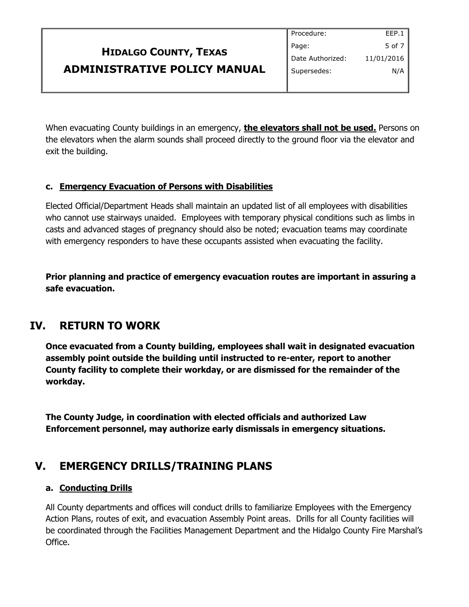|                                     | Procedure:       | EEP.1          |
|-------------------------------------|------------------|----------------|
| <b>HIDALGO COUNTY, TEXAS</b>        | Page:            | 5 of 7 $\vert$ |
|                                     | Date Authorized: | 11/01/2016     |
| <b>ADMINISTRATIVE POLICY MANUAL</b> | Supersedes:      | N/A            |
|                                     |                  |                |

When evacuating County buildings in an emergency, **the elevators shall not be used.** Persons on the elevators when the alarm sounds shall proceed directly to the ground floor via the elevator and exit the building.

### **c. Emergency Evacuation of Persons with Disabilities**

Elected Official/Department Heads shall maintain an updated list of all employees with disabilities who cannot use stairways unaided. Employees with temporary physical conditions such as limbs in casts and advanced stages of pregnancy should also be noted; evacuation teams may coordinate with emergency responders to have these occupants assisted when evacuating the facility.

**Prior planning and practice of emergency evacuation routes are important in assuring a safe evacuation.**

### **IV. RETURN TO WORK**

**Once evacuated from a County building, employees shall wait in designated evacuation assembly point outside the building until instructed to re-enter, report to another County facility to complete their workday, or are dismissed for the remainder of the workday.**

**The County Judge, in coordination with elected officials and authorized Law Enforcement personnel, may authorize early dismissals in emergency situations.**

### **V. EMERGENCY DRILLS/TRAINING PLANS**

### **a. Conducting Drills**

All County departments and offices will conduct drills to familiarize Employees with the Emergency Action Plans, routes of exit, and evacuation Assembly Point areas. Drills for all County facilities will be coordinated through the Facilities Management Department and the Hidalgo County Fire Marshal's Office.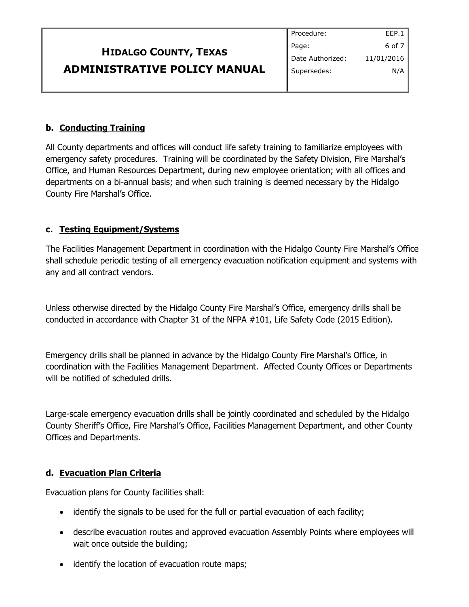|                                     | Procedure:       | EEP.1      |
|-------------------------------------|------------------|------------|
| <b>HIDALGO COUNTY, TEXAS</b>        | Page:            | $6$ of $7$ |
|                                     | Date Authorized: | 11/01/2016 |
| <b>ADMINISTRATIVE POLICY MANUAL</b> | Supersedes:      | N/A        |
|                                     |                  |            |

### **b. Conducting Training**

All County departments and offices will conduct life safety training to familiarize employees with emergency safety procedures. Training will be coordinated by the Safety Division, Fire Marshal's Office, and Human Resources Department, during new employee orientation; with all offices and departments on a bi-annual basis; and when such training is deemed necessary by the Hidalgo County Fire Marshal's Office.

### **c. Testing Equipment/Systems**

The Facilities Management Department in coordination with the Hidalgo County Fire Marshal's Office shall schedule periodic testing of all emergency evacuation notification equipment and systems with any and all contract vendors.

Unless otherwise directed by the Hidalgo County Fire Marshal's Office, emergency drills shall be conducted in accordance with Chapter 31 of the NFPA #101, Life Safety Code (2015 Edition).

Emergency drills shall be planned in advance by the Hidalgo County Fire Marshal's Office, in coordination with the Facilities Management Department. Affected County Offices or Departments will be notified of scheduled drills.

Large-scale emergency evacuation drills shall be jointly coordinated and scheduled by the Hidalgo County Sheriff's Office, Fire Marshal's Office, Facilities Management Department, and other County Offices and Departments.

### **d. Evacuation Plan Criteria**

Evacuation plans for County facilities shall:

- identify the signals to be used for the full or partial evacuation of each facility;
- describe evacuation routes and approved evacuation Assembly Points where employees will wait once outside the building;
- identify the location of evacuation route maps;